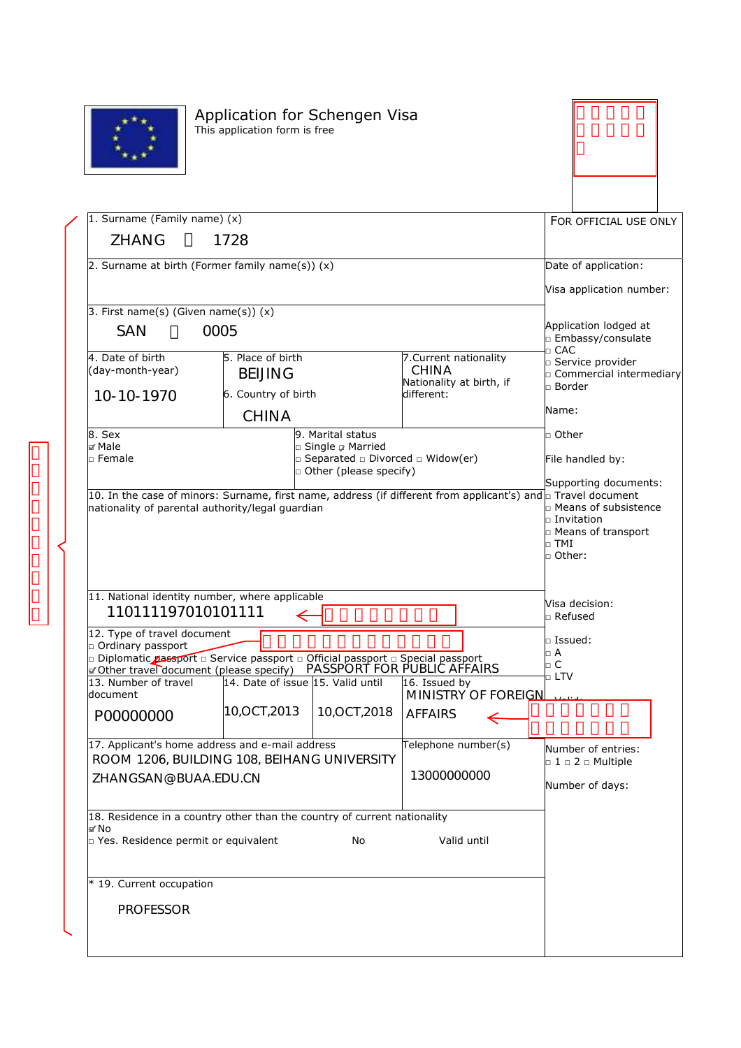

## Application for Schengen Visa  $\|\hspace{-.05in} \|$ This application form is free



| 1. Surname (Family name) (x)                                                                                |                                   |                                                                                    |                                          |                                        |                   | FOR OFFICIAL USE ONLY                                   |  |
|-------------------------------------------------------------------------------------------------------------|-----------------------------------|------------------------------------------------------------------------------------|------------------------------------------|----------------------------------------|-------------------|---------------------------------------------------------|--|
| ZHANG                                                                                                       | 1728                              |                                                                                    |                                          |                                        |                   |                                                         |  |
| 2. Surname at birth (Former family name(s)) $(x)$                                                           |                                   |                                                                                    |                                          |                                        |                   | Date of application:                                    |  |
|                                                                                                             |                                   |                                                                                    |                                          |                                        |                   | Visa application number:                                |  |
| 3. First name(s) (Given name(s)) $(x)$                                                                      |                                   |                                                                                    |                                          |                                        |                   |                                                         |  |
| <b>SAN</b>                                                                                                  | 0005                              |                                                                                    |                                          |                                        | $\sqcap$ CAC      | Application lodged at<br><b>Embassy/consulate</b>       |  |
| 4. Date of birth                                                                                            | 5. Place of birth                 |                                                                                    | 7. Current nationality                   |                                        |                   | □ Service provider                                      |  |
| (day-month-year)                                                                                            | <b>BEIJING</b>                    |                                                                                    | <b>CHINA</b><br>Nationality at birth, if |                                        |                   | n Commercial intermediary                               |  |
| 10-10-1970                                                                                                  | 6. Country of birth               |                                                                                    | different:                               |                                        | $\square$ Border  |                                                         |  |
|                                                                                                             | <b>CHINA</b>                      |                                                                                    |                                          |                                        | Name:             |                                                         |  |
| 8. Sex                                                                                                      |                                   | 9. Marital status                                                                  |                                          |                                        | $\square$ Other   |                                                         |  |
| ⊯ Male<br>□ Female                                                                                          |                                   | □ Single <sub>Ø</sub> Married<br>$\Box$ Separated $\Box$ Divorced $\Box$ Widow(er) |                                          |                                        |                   | File handled by:                                        |  |
|                                                                                                             |                                   | $\Box$ Other (please specify)                                                      |                                          |                                        |                   |                                                         |  |
| 10. In the case of minors: Surname, first name, address (if different from applicant's) and Travel document |                                   |                                                                                    |                                          |                                        |                   | Supporting documents:                                   |  |
| nationality of parental authority/legal guardian                                                            |                                   |                                                                                    |                                          |                                        |                   | n Means of subsistence                                  |  |
|                                                                                                             |                                   |                                                                                    |                                          |                                        |                   | □ Invitation<br><b>D</b> Means of transport             |  |
|                                                                                                             |                                   |                                                                                    |                                          | $\Box$ TMI                             |                   |                                                         |  |
|                                                                                                             |                                   |                                                                                    | □ Other:                                 |                                        |                   |                                                         |  |
|                                                                                                             |                                   |                                                                                    |                                          |                                        |                   |                                                         |  |
| 11. National identity number, where applicable                                                              |                                   |                                                                                    |                                          |                                        |                   |                                                         |  |
| 110111197010101111                                                                                          |                                   |                                                                                    |                                          |                                        | $\square$ Refused | Visa decision:                                          |  |
| 12. Type of travel document                                                                                 |                                   |                                                                                    |                                          |                                        |                   |                                                         |  |
| o Ordinary passport<br>□ Diplomatic passport □ Service passport □ Official passport □ Special passport      |                                   |                                                                                    |                                          | $\scriptstyle\Box$ Issued:<br>$\Box$ A |                   |                                                         |  |
| other travel document (please specify)                                                                      |                                   | PASSPORT FOR PUBLIC AFFAIRS                                                        |                                          |                                        | $\Box$ C          |                                                         |  |
| 13. Number of travel                                                                                        | 14. Date of issue 15. Valid until |                                                                                    | 16. Issued by                            |                                        | $\Box$ LTV        |                                                         |  |
| document                                                                                                    |                                   |                                                                                    |                                          | MINISTRY OF FOREIGNL                   |                   |                                                         |  |
| P00000000                                                                                                   | 10, OCT, 2013                     | 10,0CT,2018                                                                        | <b>AFFAIRS</b>                           |                                        |                   |                                                         |  |
|                                                                                                             |                                   |                                                                                    |                                          |                                        |                   |                                                         |  |
| 17. Applicant's home address and e-mail address<br>ROOM 1206, BUILDING 108, BEIHANG UNIVERSITY              |                                   |                                                                                    | Telephone number(s)                      |                                        |                   | Number of entries:<br>$\Box$ 1 $\Box$ 2 $\Box$ Multiple |  |
| ZHANGSAN@BUAA.EDU.CN                                                                                        |                                   |                                                                                    | 13000000000                              |                                        |                   |                                                         |  |
|                                                                                                             |                                   |                                                                                    |                                          |                                        |                   | Number of days:                                         |  |
| 18. Residence in a country other than the country of current nationality                                    |                                   |                                                                                    |                                          |                                        |                   |                                                         |  |
| s⁄ No                                                                                                       |                                   |                                                                                    |                                          |                                        |                   |                                                         |  |
| p Yes. Residence permit or equivalent                                                                       |                                   | No                                                                                 |                                          | Valid until                            |                   |                                                         |  |
| * 19. Current occupation                                                                                    |                                   |                                                                                    |                                          |                                        |                   |                                                         |  |
|                                                                                                             |                                   |                                                                                    |                                          |                                        |                   |                                                         |  |
| <b>PROFESSOR</b>                                                                                            |                                   |                                                                                    |                                          |                                        |                   |                                                         |  |
|                                                                                                             |                                   |                                                                                    |                                          |                                        |                   |                                                         |  |
|                                                                                                             |                                   |                                                                                    |                                          |                                        |                   |                                                         |  |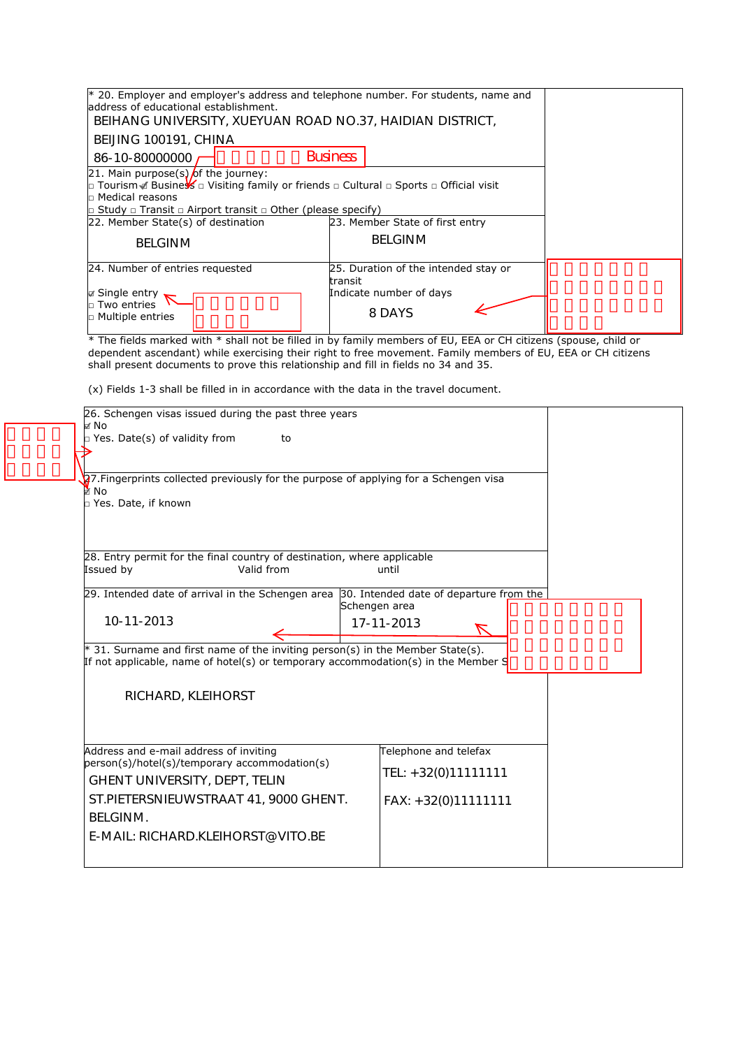| $*$ 20. Employer and employer's address and telephone number. For students, name and<br>laddress of educational establishment.<br>BEIHANG UNIVERSITY, XUEYUAN ROAD NO.37, HAIDIAN DISTRICT,   |                                                                                      |  |  |
|-----------------------------------------------------------------------------------------------------------------------------------------------------------------------------------------------|--------------------------------------------------------------------------------------|--|--|
| BEIJING 100191, CHINA                                                                                                                                                                         |                                                                                      |  |  |
| 86-10-80000000                                                                                                                                                                                | <b>Business</b>                                                                      |  |  |
| 21. Main purpose(s) of the journey:<br><b>□ Tourism </b> Busine $\frac{1}{2}$ $\Box$ Visiting family or friends $\Box$ Cultural $\Box$ Sports $\Box$ Official visit<br>$\Box$ Medical reasons |                                                                                      |  |  |
| $\Box$ Study $\Box$ Transit $\Box$ Airport transit $\Box$ Other (please specify)                                                                                                              |                                                                                      |  |  |
| 22. Member State(s) of destination                                                                                                                                                            | 23. Member State of first entry                                                      |  |  |
| <b>BELGINM</b>                                                                                                                                                                                | <b>BELGINM</b>                                                                       |  |  |
| 24. Number of entries requested<br><b>Ø</b> Single entry<br>In Two entries<br>$\Box$ Multiple entries                                                                                         | 25. Duration of the intended stay or<br>transit<br>Indicate number of days<br>8 DAYS |  |  |

\* The fields marked with \* shall not be filled in by family members of EU, EEA or CH citizens (spouse, child or dependent ascendant) while exercising their right to free movement. Family members of EU, EEA or CH citizens shall present documents to prove this relationship and fill in fields no 34 and 35.

(x) Fields 1-3 shall be filled in in accordance with the data in the travel document.

|                                                                 | 26. Schengen visas issued during the past three years                                     |                       |  |  |  |
|-----------------------------------------------------------------|-------------------------------------------------------------------------------------------|-----------------------|--|--|--|
|                                                                 | ⊌ No                                                                                      |                       |  |  |  |
|                                                                 | <b>P</b> Yes. Date(s) of validity from<br>to                                              |                       |  |  |  |
|                                                                 |                                                                                           |                       |  |  |  |
|                                                                 | 27. Fingerprints collected previously for the purpose of applying for a Schengen visa     |                       |  |  |  |
|                                                                 | й No                                                                                      |                       |  |  |  |
|                                                                 | D Yes. Date, if known                                                                     |                       |  |  |  |
|                                                                 |                                                                                           |                       |  |  |  |
|                                                                 |                                                                                           |                       |  |  |  |
|                                                                 | 28. Entry permit for the final country of destination, where applicable                   |                       |  |  |  |
|                                                                 | Issued by<br>Valid from                                                                   | until                 |  |  |  |
|                                                                 |                                                                                           |                       |  |  |  |
|                                                                 | 29. Intended date of arrival in the Schengen area 30. Intended date of departure from the | Schengen area         |  |  |  |
|                                                                 | 10-11-2013                                                                                | 17-11-2013            |  |  |  |
|                                                                 |                                                                                           |                       |  |  |  |
|                                                                 | * 31. Surname and first name of the inviting person(s) in the Member State(s).            |                       |  |  |  |
|                                                                 | If not applicable, name of hotel(s) or temporary accommodation(s) in the Member S         |                       |  |  |  |
|                                                                 |                                                                                           |                       |  |  |  |
|                                                                 | RICHARD, KLEIHORST                                                                        |                       |  |  |  |
|                                                                 |                                                                                           |                       |  |  |  |
|                                                                 |                                                                                           |                       |  |  |  |
| Address and e-mail address of inviting<br>Telephone and telefax |                                                                                           |                       |  |  |  |
|                                                                 | person(s)/hotel(s)/temporary accommodation(s)                                             | TEL: +32(0)11111111   |  |  |  |
|                                                                 | <b>GHENT UNIVERSITY, DEPT, TELIN</b>                                                      |                       |  |  |  |
|                                                                 | ST.PIETERSNIEUWSTRAAT 41, 9000 GHENT.                                                     | $FAX: +32(0)11111111$ |  |  |  |
|                                                                 | <b>BELGINM.</b>                                                                           |                       |  |  |  |
|                                                                 | E-MAIL: RICHARD.KLEIHORST@VITO.BE                                                         |                       |  |  |  |
|                                                                 |                                                                                           |                       |  |  |  |
|                                                                 |                                                                                           |                       |  |  |  |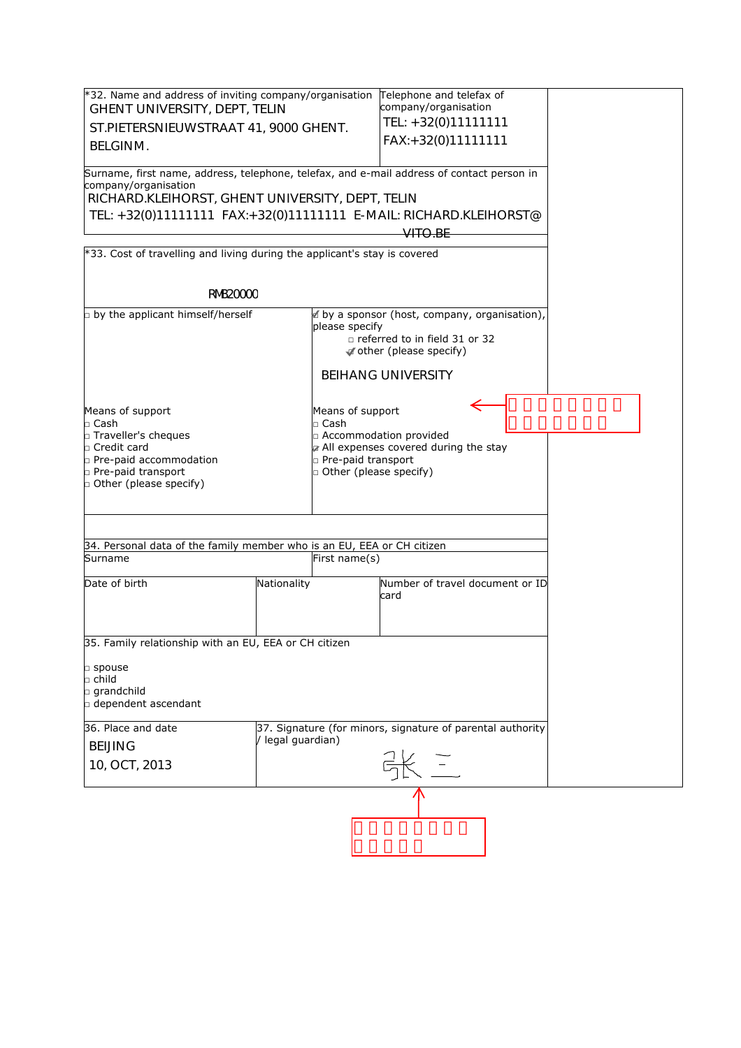| *32. Name and address of inviting company/organisation Telephone and telefax of<br>company/organisation                                                               |                   |                                                                                                                                                           |                                                            |  |  |
|-----------------------------------------------------------------------------------------------------------------------------------------------------------------------|-------------------|-----------------------------------------------------------------------------------------------------------------------------------------------------------|------------------------------------------------------------|--|--|
| GHENT UNIVERSITY, DEPT, TELIN                                                                                                                                         |                   | TEL: +32(0)11111111                                                                                                                                       |                                                            |  |  |
| ST.PIETERSNIEUWSTRAAT 41, 9000 GHENT.                                                                                                                                 |                   | FAX:+32(0)11111111                                                                                                                                        |                                                            |  |  |
| <b>BELGINM.</b>                                                                                                                                                       |                   |                                                                                                                                                           |                                                            |  |  |
| Surname, first name, address, telephone, telefax, and e-mail address of contact person in<br>company/organisation<br>RICHARD.KLEIHORST, GHENT UNIVERSITY, DEPT, TELIN |                   |                                                                                                                                                           |                                                            |  |  |
| TEL: +32(0)11111111 FAX:+32(0)11111111 E-MAIL: RICHARD.KLEIHORST@                                                                                                     |                   |                                                                                                                                                           |                                                            |  |  |
|                                                                                                                                                                       |                   |                                                                                                                                                           | <del>VITO.BE</del>                                         |  |  |
| $*33$ . Cost of travelling and living during the applicant's stay is covered                                                                                          |                   |                                                                                                                                                           |                                                            |  |  |
|                                                                                                                                                                       |                   |                                                                                                                                                           |                                                            |  |  |
| <b>RNB20000</b>                                                                                                                                                       |                   |                                                                                                                                                           |                                                            |  |  |
| p by the applicant himself/herself                                                                                                                                    |                   | in by a sponsor (host, company, organisation),<br>please specify<br>$\Box$ referred to in field 31 or 32<br>other (please specify)                        |                                                            |  |  |
|                                                                                                                                                                       |                   |                                                                                                                                                           | <b>BEIHANG UNIVERSITY</b>                                  |  |  |
| Means of support<br>$\square$ Cash<br>Fraveller's cheques<br>□ Credit card<br>p Pre-paid accommodation<br>p Pre-paid transport<br><b>D</b> Other (please specify)     |                   | Means of support<br>$\Box$ Cash<br>□ Accommodation provided<br>a All expenses covered during the stay<br>n Pre-paid transport<br>□ Other (please specify) |                                                            |  |  |
| 34. Personal data of the family member who is an EU, EEA or CH citizen                                                                                                |                   |                                                                                                                                                           |                                                            |  |  |
| Surname                                                                                                                                                               |                   | First name(s)                                                                                                                                             |                                                            |  |  |
| Date of birth                                                                                                                                                         | Nationality       |                                                                                                                                                           | Number of travel document or ID<br>card                    |  |  |
| 35. Family relationship with an EU, EEA or CH citizen                                                                                                                 |                   |                                                                                                                                                           |                                                            |  |  |
| □ spouse<br>$\square$ child<br>$\square$ grandchild<br>$\Box$ dependent ascendant                                                                                     |                   |                                                                                                                                                           |                                                            |  |  |
| 36. Place and date                                                                                                                                                    |                   |                                                                                                                                                           | 37. Signature (for minors, signature of parental authority |  |  |
| <b>BEIJING</b>                                                                                                                                                        | / legal guardian) |                                                                                                                                                           |                                                            |  |  |
| 10, OCT, 2013                                                                                                                                                         |                   |                                                                                                                                                           |                                                            |  |  |
|                                                                                                                                                                       |                   |                                                                                                                                                           |                                                            |  |  |
|                                                                                                                                                                       |                   |                                                                                                                                                           |                                                            |  |  |